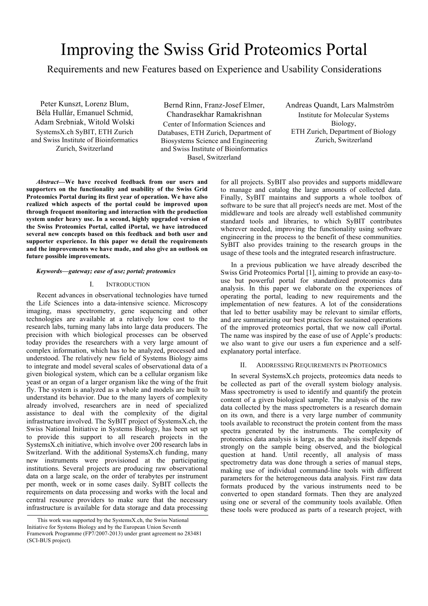# Improving the Swiss Grid Proteomics Portal

Requirements and new Features based on Experience and Usability Considerations

Peter Kunszt, Lorenz Blum, Béla Hullár, Emanuel Schmid, Adam Srebniak, Witold Wolski SystemsX.ch SyBIT, ETH Zurich and Swiss Institute of Bioinformatics Zurich, Switzerland

Bernd Rinn, Franz-Josef Elmer, Chandrasekhar Ramakrishnan Center of Information Sciences and Databases, ETH Zurich, Department of Biosystems Science and Engineering and Swiss Institute of Bioinformatics Basel, Switzerland

Andreas Quandt, Lars Malmström Institute for Molecular Systems Biology, ETH Zurich, Department of Biology Zurich, Switzerland

*Abstract***—We have received feedback from our users and supporters on the functionality and usability of the Swiss Grid Proteomics Portal during its first year of operation. We have also realized which aspects of the portal could be improved upon through frequent monitoring and interaction with the production system under heavy use. In a second, highly upgraded version of the Swiss Proteomics Portal, called iPortal, we have introduced several new concepts based on this feedback and both user and supporter experience. In this paper we detail the requirements and the improvements we have made, and also give an outlook on future possible improvements.**

## *Keywords—gateway; ease of use; portal; proteomics*

#### I. INTRODUCTION

Recent advances in observational technologies have turned the Life Sciences into a data-intensive science. Microscopy imaging, mass spectrometry, gene sequencing and other technologies are available at a relatively low cost to the research labs, turning many labs into large data producers. The precision with which biological processes can be observed today provides the researchers with a very large amount of complex information, which has to be analyzed, processed and understood. The relatively new field of Systems Biology aims to integrate and model several scales of observational data of a given biological system, which can be a cellular organism like yeast or an organ of a larger organism like the wing of the fruit fly. The system is analyzed as a whole and models are built to understand its behavior. Due to the many layers of complexity already involved, researchers are in need of specialized assistance to deal with the complexity of the digital infrastructure involved. The SyBIT project of SystemsX.ch, the Swiss National Initiative in Systems Biology, has been set up to provide this support to all research projects in the SystemsX.ch initiative, which involve over 200 research labs in Switzerland. With the additional SystemsX.ch funding, many new instruments were provisioned at the participating institutions. Several projects are producing raw observational data on a large scale, on the order of terabytes per instrument per month, week or in some cases daily. SyBIT collects the requirements on data processing and works with the local and central resource providers to make sure that the necessary infrastructure is available for data storage and data processing

for all projects. SyBIT also provides and supports middleware to manage and catalog the large amounts of collected data. Finally, SyBIT maintains and supports a whole toolbox of software to be sure that all project's needs are met. Most of the middleware and tools are already well established community standard tools and libraries, to which SyBIT contributes wherever needed, improving the functionality using software engineering in the process to the benefit of these communities. SyBIT also provides training to the research groups in the usage of these tools and the integrated research infrastructure.

In a previous publication we have already described the Swiss Grid Proteomics Portal [1], aiming to provide an easy-touse but powerful portal for standardized proteomics data analysis. In this paper we elaborate on the experiences of operating the portal, leading to new requirements and the implementation of new features. A lot of the considerations that led to better usability may be relevant to similar efforts, and are summarizing our best practices for sustained operations of the improved proteomics portal, that we now call iPortal. The name was inspired by the ease of use of Apple's products: we also want to give our users a fun experience and a selfexplanatory portal interface.

## II. ADDRESSING REQUIREMENTS IN PROTEOMICS

In several SystemsX.ch projects, proteomics data needs to be collected as part of the overall system biology analysis. Mass spectrometry is used to identify and quantify the protein content of a given biological sample. The analysis of the raw data collected by the mass spectrometers is a research domain on its own, and there is a very large number of community tools available to reconstruct the protein content from the mass spectra generated by the instruments. The complexity of proteomics data analysis is large, as the analysis itself depends strongly on the sample being observed, and the biological question at hand. Until recently, all analysis of mass spectrometry data was done through a series of manual steps, making use of individual command-line tools with different parameters for the heterogeneous data analysis. First raw data formats produced by the various instruments need to be converted to open standard formats. Then they are analyzed using one or several of the community tools available. Often these tools were produced as parts of a research project, with

This work was supported by the SystemsX.ch, the Swiss National Initiative for Systems Biology and by the European Union Seventh Framework Programme (FP7/2007-2013) under grant agreement no 283481 (SCI-BUS project)*.*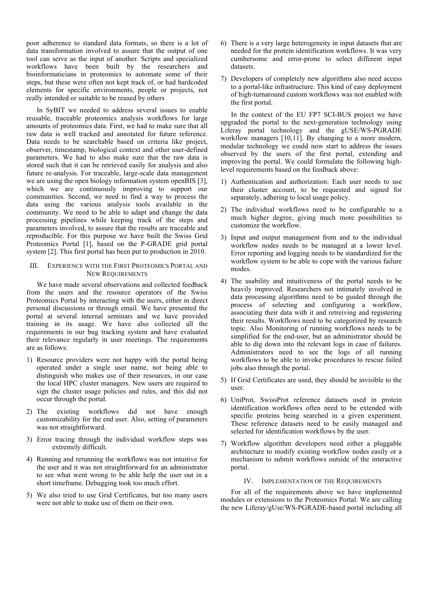poor adherence to standard data formats, so there is a lot of data transformation involved to assure that the output of one tool can serve as the input of another. Scripts and specialized workflows have been built by the researchers and bioinformaticians in proteomics to automate some of their steps, but these were often not kept track of, or had hardcoded elements for specific environments, people or projects, not really intended or suitable to be reused by others

In SyBIT we needed to address several issues to enable reusable, traceable proteomics analysis workflows for large amounts of proteomics data. First, we had to make sure that all raw data is well tracked and annotated for future reference. Data needs to be searchable based on criteria like project, observer, timestamp, biological context and other user-defined parameters. We had to also make sure that the raw data is stored such that it can be retrieved easily for analysis and also future re-analysis. For traceable, large-scale data management we are using the open biology information system openBIS [3], which we are continuously improving to support our communities. Second, we need to find a way to process the data using the various analysis tools available in the community. We need to be able to adapt and change the data processing pipelines while keeping track of the steps and parameters involved, to assure that the results are traceable and reproducible. For this purpose we have built the Swiss Grid Proteomics Portal [1], based on the P-GRADE grid portal system [2]. This first portal has been put to production in 2010.

# III. EXPERIENCE WITH THE FIRST PROTEOMICS PORTAL AND NEW REQUIREMENTS

We have made several observations and collected feedback from the users and the resource operators of the Swiss Proteomics Portal by interacting with the users, either in direct personal discussions or through email. We have presented the portal at several internal seminars and we have provided training in its usage. We have also collected all the requirements in our bug tracking system and have evaluated their relevance regularly in user meetings. The requirements are as follows:

- 1) Resource providers were not happy with the portal being operated under a single user name, not being able to distinguish who makes use of their resources, in our case the local HPC cluster managers. New users are required to sign the cluster usage policies and rules, and this did not occur through the portal.
- 2) The existing workflows did not have enough customizability for the end user. Also, setting of parameters was not straightforward.
- 3) Error tracing through the individual workflow steps was extremely difficult.
- 4) Running and rerunning the workflows was not intuitive for the user and it was not straightforward for an administrator to see what went wrong to be able help the user out in a short timeframe. Debugging took too much effort.
- 5) We also tried to use Grid Certificates, but too many users were not able to make use of them on their own.
- 6) There is a very large heterogeneity in input datasets that are needed for the protein identification workflows. It was very cumbersome and error-prone to select different input datasets.
- 7) Developers of completely new algorithms also need access to a portal-like infrastructure. This kind of easy deployment of high-turnaround custom workflows was not enabled with the first portal.

In the context of the EU FP7 SCI-BUS project we have upgraded the portal to the next-generation technology using Liferay portal technology and the gUSE/WS-PGRADE workflow managers [10,11]. By changing to a more modern, modular technology we could now start to address the issues observed by the users of the first portal, extending and improving the portal. We could formulate the following highlevel requirements based on the feedback above:

- 1) Authentication and authorization: Each user needs to use their cluster account, to be requested and signed for separately, adhering to local usage policy.
- 2) The individual workflows need to be configurable to a much higher degree, giving much more possibilities to customize the workflow.
- 3) Input and output management from and to the individual workflow nodes needs to be managed at a lower level. Error reporting and logging needs to be standardized for the workflow system to be able to cope with the various failure modes.
- 4) The usability and intuitiveness of the portal needs to be heavily improved. Researchers not intimately involved in data processing algorithms need to be guided through the process of selecting and configuring a workflow, associating their data with it and retreiving and registering their results. Workflows need to be categorized by research topic. Also Monitoring of running workflows needs to be simplified for the end-user, but an administrator should be able to dig down into the relevant logs in case of failures. Administrators need to see the logs of all running workflows to be able to invoke procedures to rescue failed jobs also through the portal.
- 5) If Grid Certificates are used, they should be invisible to the user.
- 6) UniProt, SwissProt reference datasets used in protein identification workflows often need to be extended with specific proteins being searched in a given experiment. These reference datasets need to be easily managed and selected for identification workflows by the user.
- 7) Workflow algorithm developers need either a pluggable architecture to modify existing workflow nodes easily or a mechanism to submit workflows outside of the interactive portal.

# IV. IMPLEMENTATION OF THE REQUIREMENTS

For all of the requirements above we have implemented modules or extensions to the Proteomics Portal. We are calling the new Liferay/gUse/WS-PGRADE-based portal including all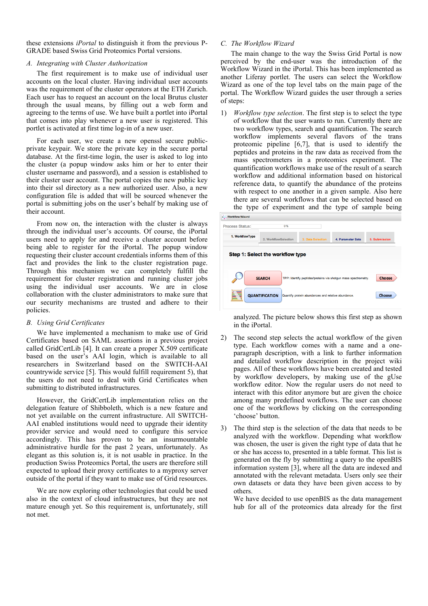these extensions *iPortal* to distinguish it from the previous P-GRADE based Swiss Grid Proteomics Portal versions.

# *A. Integrating with Cluster Authorization*

The first requirement is to make use of individual user accounts on the local cluster. Having individual user accounts was the requirement of the cluster operators at the ETH Zurich. Each user has to request an account on the local Brutus cluster through the usual means, by filling out a web form and agreeing to the terms of use. We have built a portlet into iPortal that comes into play whenever a new user is registered. This portlet is activated at first time log-in of a new user.

For each user, we create a new openssl secure publicprivate keypair. We store the private key in the secure portal database. At the first-time login, the user is asked to log into the cluster (a popup window asks him or her to enter their cluster username and password), and a session is established to their cluster user account. The portal copies the new public key into their ssl directory as a new authorized user. Also, a new configuration file is added that will be sourced whenever the portal is submitting jobs on the user's behalf by making use of their account.

From now on, the interaction with the cluster is always through the individual user's accounts. Of course, the iPortal users need to apply for and receive a cluster account before being able to register for the iPortal. The popup window requesting their cluster account credentials informs them of this fact and provides the link to the cluster registration page. Through this mechanism we can completely fulfill the requirement for cluster registration and running cluster jobs using the individual user accounts. We are in close collaboration with the cluster administrators to make sure that our security mechanisms are trusted and adhere to their policies.

## *B. Using Grid Certificates*

We have implemented a mechanism to make use of Grid Certificates based on SAML assertions in a previous project called GridCertLib [4]. It can create a proper  $X.509$  certificate based on the user's AAI login, which is available to all researchers in Switzerland based on the SWITCH-AAI countrywide service [5]. This would fulfill requirement 5), that the users do not need to deal with Grid Certificates when submitting to distributed infrastructures.

However, the GridCertLib implementation relies on the delegation feature of Shibboleth, which is a new feature and not yet available on the current infrastructure. All SWITCH-AAI enabled institutions would need to upgrade their identity provider service and would need to configure this service accordingly. This has proven to be an insurmountable administrative hurdle for the past 2 years, unfortunately. As elegant as this solution is, it is not usable in practice. In the production Swiss Proteomics Portal, the users are therefore still expected to upload their proxy certificates to a myproxy server outside of the portal if they want to make use of Grid resources.

We are now exploring other technologies that could be used also in the context of cloud infrastructures, but they are not mature enough yet. So this requirement is, unfortunately, still not met.

## *C. The Workflow Wizard*

The main change to the way the Swiss Grid Portal is now perceived by the end-user was the introduction of the Workflow Wizard in the iPortal. This has been implemented as another Liferay portlet. The users can select the Workflow Wizard as one of the top level tabs on the main page of the portal. The Workflow Wizard guides the user through a series of steps:

1) *Workflow type selection*. The first step is to select the type of workflow that the user wants to run. Currently there are two workflow types, search and quantification. The search workflow implements several flavors of the trans proteomic pipeline [6,7], that is used to identify the peptides and proteins in the raw data as received from the mass spectrometers in a proteomics experiment. The quantification workflows make use of the result of a search workflow and additional information based on historical reference data, to quantify the abundance of the proteins with respect to one another in a given sample. Also here there are several workflows that can be selected based on the type of experiment and the type of sample being

| . Workflow Wizard     |                                                                                           |                   |                          |               |  |  |  |  |
|-----------------------|-------------------------------------------------------------------------------------------|-------------------|--------------------------|---------------|--|--|--|--|
| Process Status:       | 0%                                                                                        |                   |                          |               |  |  |  |  |
| 1. WorkflowType       | 2. WorkflowSelection                                                                      | 3. Data Selection | <b>4. Parameter Sets</b> | 5. Submission |  |  |  |  |
|                       | Step 1: Select the workflow type                                                          |                   |                          |               |  |  |  |  |
|                       |                                                                                           |                   |                          |               |  |  |  |  |
|                       | Choose<br><b>SEARCH</b><br>TPP: Identify peptides/proteins via shotgun mass spectrometry. |                   |                          |               |  |  |  |  |
| <b>QUANTIFICATION</b> | Choose                                                                                    |                   |                          |               |  |  |  |  |
|                       |                                                                                           |                   |                          |               |  |  |  |  |

analyzed. The picture below shows this first step as shown in the iPortal.

- 2) The second step selects the actual workflow of the given type. Each workflow comes with a name and a oneparagraph description, with a link to further information and detailed workflow description in the project wiki pages. All of these workflows have been created and tested by workflow developers, by making use of the gUse workflow editor. Now the regular users do not need to interact with this editor anymore but are given the choice among many predefined workflows. The user can choose one of the workflows by clicking on the corresponding 'choose' button.
- 3) The third step is the selection of the data that needs to be analyzed with the workflow. Depending what workflow was chosen, the user is given the right type of data that he or she has access to, presented in a table format. This list is generated on the fly by submitting a query to the openBIS information system [3], where all the data are indexed and annotated with the relevant metadata. Users only see their own datasets or data they have been given access to by others.

We have decided to use openBIS as the data management hub for all of the proteomics data already for the first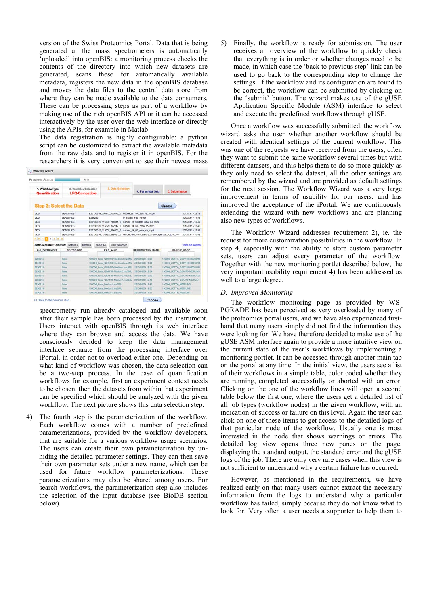version of the Swiss Proteomics Portal. Data that is being generated at the mass spectrometers is automatically 'uploaded' into openBIS: a monitoring process checks the contents of the directory into which new datasets are generated, scans these for automatically available metadata, registers the new data in the openBIS database and moves the data files to the central data store from where they can be made available to the data consumers. These can be processing steps as part of a workflow by making use of the rich openBIS API or it can be accessed interactively by the user over the web interface or directly using the APIs, for example in Matlab.

The data registration is highly configurable: a python script can be customized to extract the available metadata from the raw data and to register it in openBIS. For the researchers it is very convenient to see their newest mass

| Process Status:                                     |                                                | 40%                   |                                                        |                   |                                                         |                             |                                      |  |
|-----------------------------------------------------|------------------------------------------------|-----------------------|--------------------------------------------------------|-------------------|---------------------------------------------------------|-----------------------------|--------------------------------------|--|
| 1. WorkflowType<br>Quantification                   | 2. WorldflowSelection<br><b>LFQ-Compatible</b> | 3. Data Selection     |                                                        | 4. Parameter Sets |                                                         | 5. Submission               |                                      |  |
| <b>Step 3: Select the Data</b>                      |                                                |                       |                                                        |                   |                                                         | Choose                      |                                      |  |
| <b>DDB</b>                                          | <b>SEARCHES</b>                                |                       | E20130319 204112 150472 0                              |                   | dobbe 287774 saurus 30ppm                               |                             | 2013/03/19 22:13                     |  |
| <b>DDB</b>                                          | <b>SEARCHES</b>                                | E288283               |                                                        |                   | In swabs frac vs168                                     |                             | 2013/03/19 11:43                     |  |
| nnn                                                 | <b>SEARCHES</b>                                |                       | E20130315 115630 788845 0                              |                   | sandra 14 biggest pmw no myri                           |                             | 2013/03/15 12:42                     |  |
| <b>DDB</b>                                          | <b>SEARCHES</b>                                |                       | E20130315 115529 822747 0<br>E20130315 115857 004831 0 |                   | sandra 14 big pmw no myri<br>sandra 14 06 pmw no myri   |                             | 2013/03/15 12:40                     |  |
| <b>DDB</b>                                          | <b>SEARCHES</b>                                |                       |                                                        |                   |                                                         |                             | 2013/03/15 12:30                     |  |
| DOB                                                 | <b>SEARCHES</b>                                |                       | E20130314_132125_686661_0                              |                   | first, 8. files_from_sandra_check_injection_vol_no_myri |                             | 2013/03/15 10:03                     |  |
| DpenBIS dataset selection:<br><b>BIO EXPERIMENT</b> | Settings<br>CENTROIDED                         | Refresh<br>Select All | <b>Clear Selection</b><br>FILE NAME                    |                   | <b>REGISTRATION DATE-</b>                               |                             | 9 flies are selected.<br>SAMPLE CODE |  |
|                                                     |                                                |                       |                                                        |                   |                                                         |                             |                                      |  |
| E298215                                             | <b>Talsa</b>                                   |                       | 130308 Lota Q99116-Medun3.mzXML                        |                   | 2013/03/24 13:06                                        | 130306 LOTTA Q99YH6-MEDIUM3 |                                      |  |
| <b>E200215</b>                                      | false                                          |                       | 130308 Lotal Q99116HMedium2.maXML                      |                   | 2013/03/24 13:02                                        | 130308 LOTTA G99YH6-MEDIUM2 |                                      |  |
| E288215                                             | <b>Falley</b>                                  |                       | 130308 Lotal Q991158+Medium1.mzXML                     |                   | 2013/03/24 12:58                                        | 130308 LOTTA Q99YH8-MEDIUM1 |                                      |  |
| E288215                                             | <b>Fadeus</b>                                  |                       | 130306 Lotta Q9A170+Medium3.mz304L                     |                   | 2013/03/24 12:54                                        | 130306 LOTTA GSA170-MEDIUM3 |                                      |  |
|                                                     | Talton                                         |                       | 130306_Lotta Q9A170+Medium2.mz304L                     |                   | 2013/03/24 12:50                                        | 130308 LOTTA Q9A170-MEDIUM2 |                                      |  |
| <b>E288215</b>                                      |                                                |                       | 130306 Lots QSA170+Medium1.mz30AL                      |                   | 2013/03/24 12:45<br>130308 LOTTA Q9A170-MEDIUM1         |                             |                                      |  |
| <b>E29821S</b>                                      | false                                          |                       |                                                        |                   | 2013/03/24 12:41<br>130308 LOTTA MEDIUM3                |                             |                                      |  |
| <b>P288215</b>                                      | faten                                          |                       | 130308 Lotta Medium3.mz30AL                            |                   |                                                         |                             |                                      |  |
| E268215                                             | false                                          |                       | 130306 Lots Medium2 ms/0/L                             |                   | 2013/03/24 12:36                                        | 130308 LOTTA MEDIUM2        |                                      |  |

spectrometry run already cataloged and available soon after their sample has been processed by the instrument. Users interact with openBIS through its web interface where they can browse and access the data. We have consciously decided to keep the data management interface separate from the processing interface over iPortal, in order not to overload either one. Depending on what kind of workflow was chosen, the data selection can be a two-step process. In the case of quantification workflows for example, first an experiment context needs to be chosen, then the datasets from within that experiment can be specified which should be analyzed with the given workflow. The next picture shows this data selection step.

4) The fourth step is the parameterization of the workflow. Each workflow comes with a number of predefined parameterizations, provided by the workflow developers, that are suitable for a various workflow usage scenarios. The users can create their own parameterization by unhiding the detailed parameter settings. They can then save their own parameter sets under a new name, which can be used for future workflow parameterizations. These parameterizations may also be shared among users. For search workflows, the parameterization step also includes the selection of the input database (see BioDB section below).

5) Finally, the workflow is ready for submission. The user receives an overview of the workflow to quickly check that everything is in order or whether changes need to be made, in which case the 'back to previous step' link can be used to go back to the corresponding step to change the settings. If the workflow and its configuration are found to be correct, the workflow can be submitted by clicking on the 'submit' button. The wizard makes use of the gUSE Application Specific Module (ASM) interface to select and execute the predefined workflows through gUSE.

Once a workflow was successfully submitted, the workflow wizard asks the user whether another workflow should be created with identical settings of the current workflow. This was one of the requests we have received from the users, often they want to submit the same workflow several times but with different datasets, and this helps them to do so more quickly as they only need to select the dataset, all the other settings are remembered by the wizard and are provided as default settings for the next session. The Workflow Wizard was a very large improvement in terms of usability for our users, and has improved the acceptance of the iPortal. We are continuously extending the wizard with new workflows and are planning also new types of workflows.

The Workflow Wizard addresses requirement 2), ie. the request for more customization possibilities in the workflow. In step 4, especially with the ability to store custom parameter sets, users can adjust every parameter of the workflow. Together with the new monitoring portlet described below, the very important usability requirement 4) has been addressed as well to a large degree.

# *D. Improved Monitoring*

The workflow monitoring page as provided by WS-PGRADE has been perceived as very overloaded by many of the proteomics portal users, and we have also experienced firsthand that many users simply did not find the information they were looking for. We have therefore decided to make use of the gUSE ASM interface again to provide a more intuitive view on the current state of the user's workflows by implementing a monitoring portlet. It can be accessed through another main tab on the portal at any time. In the initial view, the users see a list of their workflows in a simple table, color coded whether they are running, completed successfully or aborted with an error. Clicking on the one of the workflow lines will open a second table below the first one, where the users get a detailed list of all job types (workflow nodes) in the given workflow, with an indication of success or failure on this level. Again the user can click on one of these items to get access to the detailed logs of that particular node of the workflow. Usually one is most interested in the node that shows warnings or errors. The detailed log view opens three new panes on the page, displaying the standard output, the standard error and the gUSE logs of the job. There are only very rare cases when this view is not sufficient to understand why a certain failure has occurred.

However, as mentioned in the requirements, we have realized early on that many users cannot extract the necessary information from the logs to understand why a particular workflow has failed, simply because they do not know what to look for. Very often a user needs a supporter to help them to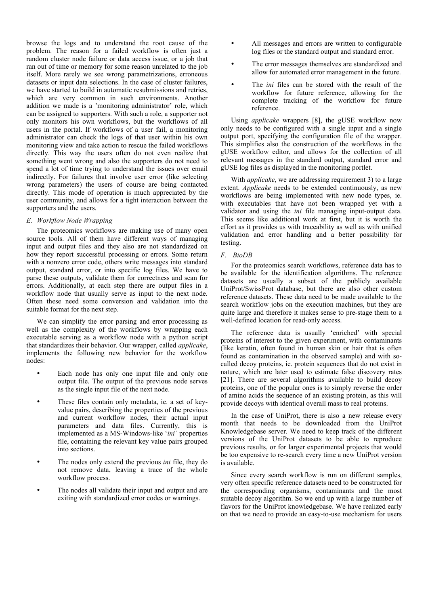browse the logs and to understand the root cause of the problem. The reason for a failed workflow is often just a random cluster node failure or data access issue, or a job that ran out of time or memory for some reason unrelated to the job itself. More rarely we see wrong parametrizations, erroneous datasets or input data selections. In the case of cluster failures, we have started to build in automatic resubmissions and retries, which are very common in such environments. Another addition we made is a 'monitoring administrator' role, which can be assigned to supporters. With such a role, a supporter not only monitors his own workflows, but the workflows of all users in the portal. If workflows of a user fail, a monitoring administrator can check the logs of that user within his own monitoring view and take action to rescue the failed workflows directly. This way the users often do not even realize that something went wrong and also the supporters do not need to spend a lot of time trying to understand the issues over email indirectly. For failures that involve user error (like selecting wrong parameters) the users of course are being contacted directly. This mode of operation is much appreciated by the user community, and allows for a tight interaction between the supporters and the users.

# *E. Workflow Node Wrapping*

The proteomics workflows are making use of many open source tools. All of them have different ways of managing input and output files and they also are not standardized on how they report successful processing or errors. Some return with a nonzero error code, others write messages into standard output, standard error, or into specific log files. We have to parse these outputs, validate them for correctness and scan for errors. Additionally, at each step there are output files in a workflow node that usually serve as input to the next node. Often these need some conversion and validation into the suitable format for the next step.

We can simplify the error parsing and error processing as well as the complexity of the workflows by wrapping each executable serving as a workflow node with a python script that standardizes their behavior. Our wrapper, called *applicake*, implements the following new behavior for the workflow nodes:

- Each node has only one input file and only one output file. The output of the previous node serves as the single input file of the next node.
- These files contain only metadata, ie. a set of keyvalue pairs, describing the properties of the previous and current workflow nodes, their actual input parameters and data files. Currently, this is implemented as a MS-Windows-like '*ini'* properties file, containing the relevant key value pairs grouped into sections.
- The nodes only extend the previous *ini* file, they do not remove data, leaving a trace of the whole workflow process.
- The nodes all validate their input and output and are exiting with standardized error codes or warnings.
- All messages and errors are written to configurable log files or the standard output and standard error.
- The error messages themselves are standardized and allow for automated error management in the future.
- The *ini* files can be stored with the result of the workflow for future reference, allowing for the complete tracking of the workflow for future reference.

Using *applicake* wrappers [8], the gUSE workflow now only needs to be configured with a single input and a single output port, specifying the configuration file of the wrapper. This simplifies also the construction of the workflows in the gUSE workflow editor, and allows for the collection of all relevant messages in the standard output, standard error and gUSE log files as displayed in the monitoring portlet.

With *applicake*, we are addressing requirement 3) to a large extent. *Applicake* needs to be extended continuously, as new workflows are being implemented with new node types, ie. with executables that have not been wrapped yet with a validator and using the *ini* file managing input-output data. This seems like additional work at first, but it is worth the effort as it provides us with traceability as well as with unified validation and error handling and a better possibility for testing.

# *F. BioDB*

For the proteomics search workflows, reference data has to be available for the identification algorithms. The reference datasets are usually a subset of the publicly available UniProt/SwissProt database, but there are also other custom reference datasets. These data need to be made available to the search workflow jobs on the execution machines, but they are quite large and therefore it makes sense to pre-stage them to a well-defined location for read-only access.

The reference data is usually 'enriched' with special proteins of interest to the given experiment, with contaminants (like keratin, often found in human skin or hair that is often found as contamination in the observed sample) and with socalled decoy proteins, ie. protein sequences that do not exist in nature, which are later used to estimate false discovery rates [21]. There are several algorithms available to build decoy proteins, one of the popular ones is to simply reverse the order of amino acids the sequence of an existing protein, as this will provide decoys with identical overall mass to real proteins.

In the case of UniProt, there is also a new release every month that needs to be downloaded from the UniProt Knowledgebase server. We need to keep track of the different versions of the UniProt datasets to be able to reproduce previous results, or for larger experimental projects that would be too expensive to re-search every time a new UniProt version is available.

Since every search workflow is run on different samples, very often specific reference datasets need to be constructed for the corresponding organisms, contaminants and the most suitable decoy algorithm. So we end up with a large number of flavors for the UniProt knowledgebase. We have realized early on that we need to provide an easy-to-use mechanism for users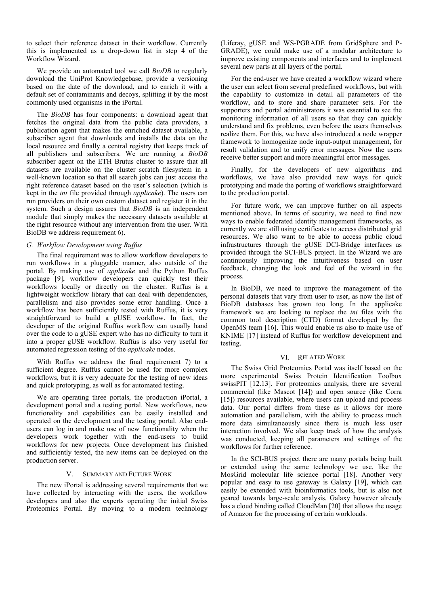to select their reference dataset in their workflow. Currently this is implemented as a drop-down list in step 4 of the Workflow Wizard.

We provide an automated tool we call *BioDB* to regularly download the UniProt Knowledgebase, provide a versioning based on the date of the download, and to enrich it with a default set of contaminants and decoys, splitting it by the most commonly used organisms in the iPortal.

The *BioDB* has four components: a download agent that fetches the original data from the public data providers, a publication agent that makes the enriched dataset available, a subscriber agent that downloads and installs the data on the local resource and finally a central registry that keeps track of all publishers and subscribers. We are running a *BioDB* subscriber agent on the ETH Brutus cluster to assure that all datasets are available on the cluster scratch filesystem in a well-known location so that all search jobs can just access the right reference dataset based on the user's selection (which is kept in the *ini* file provided through *applicake*). The users can run providers on their own custom dataset and register it in the system. Such a design assures that *BioDB* is an independent module that simply makes the necessary datasets available at the right resource without any intervention from the user. With BioDB we address requirement 6).

# *G. Workflow Development using Ruffus*

The final requirement was to allow workflow developers to run workflows in a pluggable manner, also outside of the portal. By making use of *applicake* and the Python Ruffus package [9], workflow developers can quickly test their workflows locally or directly on the cluster. Ruffus is a lightweight workflow library that can deal with dependencies, parallelism and also provides some error handling. Once a workflow has been sufficiently tested with Ruffus, it is very straightforward to build a gUSE workflow. In fact, the developer of the original Ruffus workflow can usually hand over the code to a gUSE expert who has no difficulty to turn it into a proper gUSE workflow. Ruffus is also very useful for automated regression testing of the *applicake* nodes.

With Ruffus we address the final requirement 7) to a sufficient degree. Ruffus cannot be used for more complex workflows, but it is very adequate for the testing of new ideas and quick prototyping, as well as for automated testing.

We are operating three portals, the production iPortal, a development portal and a testing portal. New workflows, new functionality and capabilities can be easily installed and operated on the development and the testing portal. Also endusers can log in and make use of new functionality when the developers work together with the end-users to build workflows for new projects. Once development has finished and sufficiently tested, the new items can be deployed on the production server.

### V. SUMMARY AND FUTURE WORK

The new iPortal is addressing several requirements that we have collected by interacting with the users, the workflow developers and also the experts operating the initial Swiss Proteomics Portal. By moving to a modern technology

(Liferay, gUSE and WS-PGRADE from GridSphere and P-GRADE), we could make use of a modular architecture to improve existing components and interfaces and to implement several new parts at all layers of the portal.

For the end-user we have created a workflow wizard where the user can select from several predefined workflows, but with the capability to customize in detail all parameters of the workflow, and to store and share parameter sets. For the supporters and portal administrators it was essential to see the monitoring information of all users so that they can quickly understand and fix problems, even before the users themselves realize them. For this, we have also introduced a node wrapper framework to homogenize node input-output management, for result validation and to unify error messages. Now the users receive better support and more meaningful error messages.

Finally, for the developers of new algorithms and workflows, we have also provided new ways for quick prototyping and made the porting of workflows straightforward to the production portal.

For future work, we can improve further on all aspects mentioned above. In terms of security, we need to find new ways to enable federated identity management frameworks, as currently we are still using certificates to access distributed grid resources. We also want to be able to access public cloud infrastructures through the gUSE DCI-Bridge interfaces as provided through the SCI-BUS project. In the Wizard we are continuously improving the intuitiveness based on user feedback, changing the look and feel of the wizard in the process.

In BioDB, we need to improve the management of the personal datasets that vary from user to user, as now the list of BioDB databases has grown too long. In the applicake framework we are looking to replace the *ini* files with the common tool description (CTD) format developed by the OpenMS team [16]. This would enable us also to make use of KNIME [17] instead of Ruffus for workflow development and testing.

### VI. RELATED WORK

The Swiss Grid Proteomics Portal was itself based on the more experimental Swiss Protein Identification Toolbox swissPIT [12.13]. For proteomics analysis, there are several commercial (like Mascot [14]) and open source (like Corra [15]) resources available, where users can upload and process data. Our portal differs from these as it allows for more automation and parallelism, with the ability to process much more data simultaneously since there is much less user interaction involved. We also keep track of how the analysis was conducted, keeping all parameters and settings of the workflows for further reference.

In the SCI-BUS project there are many portals being built or extended using the same technology we use, like the MosGrid molecular life science portal [18]. Another very popular and easy to use gateway is Galaxy [19], which can easily be extended with bioinformatics tools, but is also not geared towards large-scale analysis. Galaxy however already has a cloud binding called CloudMan [20] that allows the usage of Amazon for the processing of certain workloads.